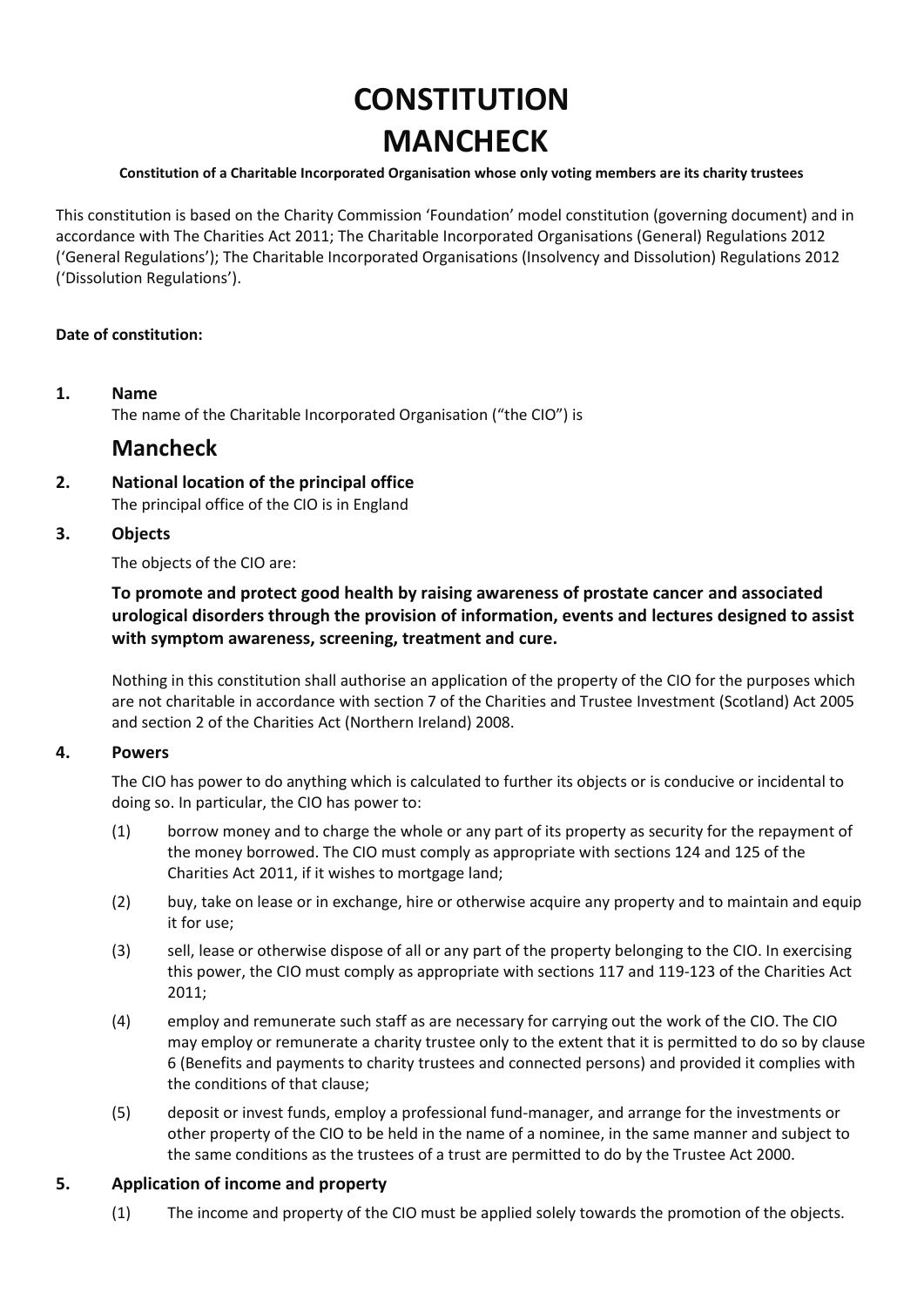# **CONSTITUTION MANCHECK**

#### **Constitution of a Charitable Incorporated Organisation whose only voting members are its charity trustees**

This constitution is based on the Charity Commission 'Foundation' model constitution (governing document) and in accordance with The Charities Act 2011; The Charitable Incorporated Organisations (General) Regulations 2012 ('General Regulations'); The Charitable Incorporated Organisations (Insolvency and Dissolution) Regulations 2012 ('Dissolution Regulations').

#### **Date of constitution:**

**1. Name** The name of the Charitable Incorporated Organisation ("the CIO") is

# **Mancheck**

- **2. National location of the principal office** The principal office of the CIO is in England
- **3. Objects**

The objects of the CIO are:

# **To promote and protect good health by raising awareness of prostate cancer and associated urological disorders through the provision of information, events and lectures designed to assist with symptom awareness, screening, treatment and cure.**

Nothing in this constitution shall authorise an application of the property of the CIO for the purposes which are not charitable in accordance with section 7 of the Charities and Trustee Investment (Scotland) Act 2005 and section 2 of the Charities Act (Northern Ireland) 2008.

#### **4. Powers**

 The CIO has power to do anything which is calculated to further its objects or is conducive or incidental to doing so. In particular, the CIO has power to:

- (1) borrow money and to charge the whole or any part of its property as security for the repayment of the money borrowed. The CIO must comply as appropriate with sections 124 and 125 of the Charities Act 2011, if it wishes to mortgage land;
- (2) buy, take on lease or in exchange, hire or otherwise acquire any property and to maintain and equip it for use;
- (3) sell, lease or otherwise dispose of all or any part of the property belonging to the CIO. In exercising this power, the CIO must comply as appropriate with sections 117 and 119-123 of the Charities Act 2011;
- (4) employ and remunerate such staff as are necessary for carrying out the work of the CIO. The CIO may employ or remunerate a charity trustee only to the extent that it is permitted to do so by clause 6 (Benefits and payments to charity trustees and connected persons) and provided it complies with the conditions of that clause;
- (5) deposit or invest funds, employ a professional fund-manager, and arrange for the investments or other property of the CIO to be held in the name of a nominee, in the same manner and subject to the same conditions as the trustees of a trust are permitted to do by the Trustee Act 2000.

#### **5. Application of income and property**

(1) The income and property of the CIO must be applied solely towards the promotion of the objects.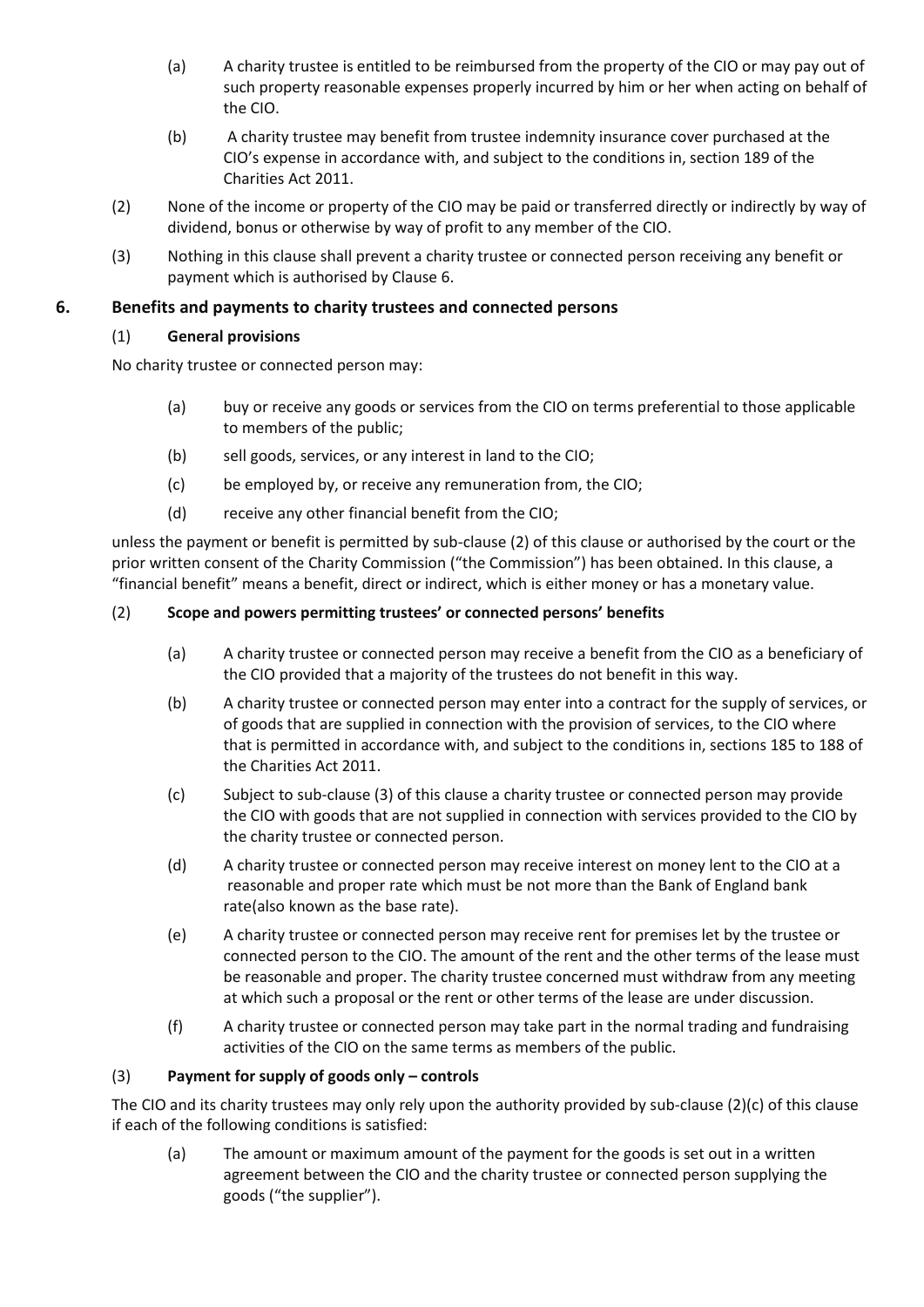- (a) A charity trustee is entitled to be reimbursed from the property of the CIO or may pay out of such property reasonable expenses properly incurred by him or her when acting on behalf of the CIO.
- (b) A charity trustee may benefit from trustee indemnity insurance cover purchased at the CIO's expense in accordance with, and subject to the conditions in, section 189 of the Charities Act 2011.
- (2) None of the income or property of the CIO may be paid or transferred directly or indirectly by way of dividend, bonus or otherwise by way of profit to any member of the CIO.
- (3) Nothing in this clause shall prevent a charity trustee or connected person receiving any benefit or payment which is authorised by Clause 6.

# **6. Benefits and payments to charity trustees and connected persons**

## (1) **General provisions**

No charity trustee or connected person may:

- (a) buy or receive any goods or services from the CIO on terms preferential to those applicable to members of the public;
- (b) sell goods, services, or any interest in land to the CIO;
- (c) be employed by, or receive any remuneration from, the CIO;
- (d) receive any other financial benefit from the CIO;

unless the payment or benefit is permitted by sub-clause (2) of this clause or authorised by the court or the prior written consent of the Charity Commission ("the Commission") has been obtained. In this clause, a "financial benefit" means a benefit, direct or indirect, which is either money or has a monetary value.

# (2) **Scope and powers permitting trustees' or connected persons' benefits**

- (a) A charity trustee or connected person may receive a benefit from the CIO as a beneficiary of the CIO provided that a majority of the trustees do not benefit in this way.
- (b) A charity trustee or connected person may enter into a contract for the supply of services, or of goods that are supplied in connection with the provision of services, to the CIO where that is permitted in accordance with, and subject to the conditions in, sections 185 to 188 of the Charities Act 2011.
- (c) Subject to sub-clause (3) of this clause a charity trustee or connected person may provide the CIO with goods that are not supplied in connection with services provided to the CIO by the charity trustee or connected person.
- (d) A charity trustee or connected person may receive interest on money lent to the CIO at a reasonable and proper rate which must be not more than the Bank of England bank rate(also known as the base rate).
- (e) A charity trustee or connected person may receive rent for premises let by the trustee or connected person to the CIO. The amount of the rent and the other terms of the lease must be reasonable and proper. The charity trustee concerned must withdraw from any meeting at which such a proposal or the rent or other terms of the lease are under discussion.
- (f) A charity trustee or connected person may take part in the normal trading and fundraising activities of the CIO on the same terms as members of the public.

## (3) **Payment for supply of goods only – controls**

The CIO and its charity trustees may only rely upon the authority provided by sub-clause (2)(c) of this clause if each of the following conditions is satisfied:

(a) The amount or maximum amount of the payment for the goods is set out in a written agreement between the CIO and the charity trustee or connected person supplying the goods ("the supplier").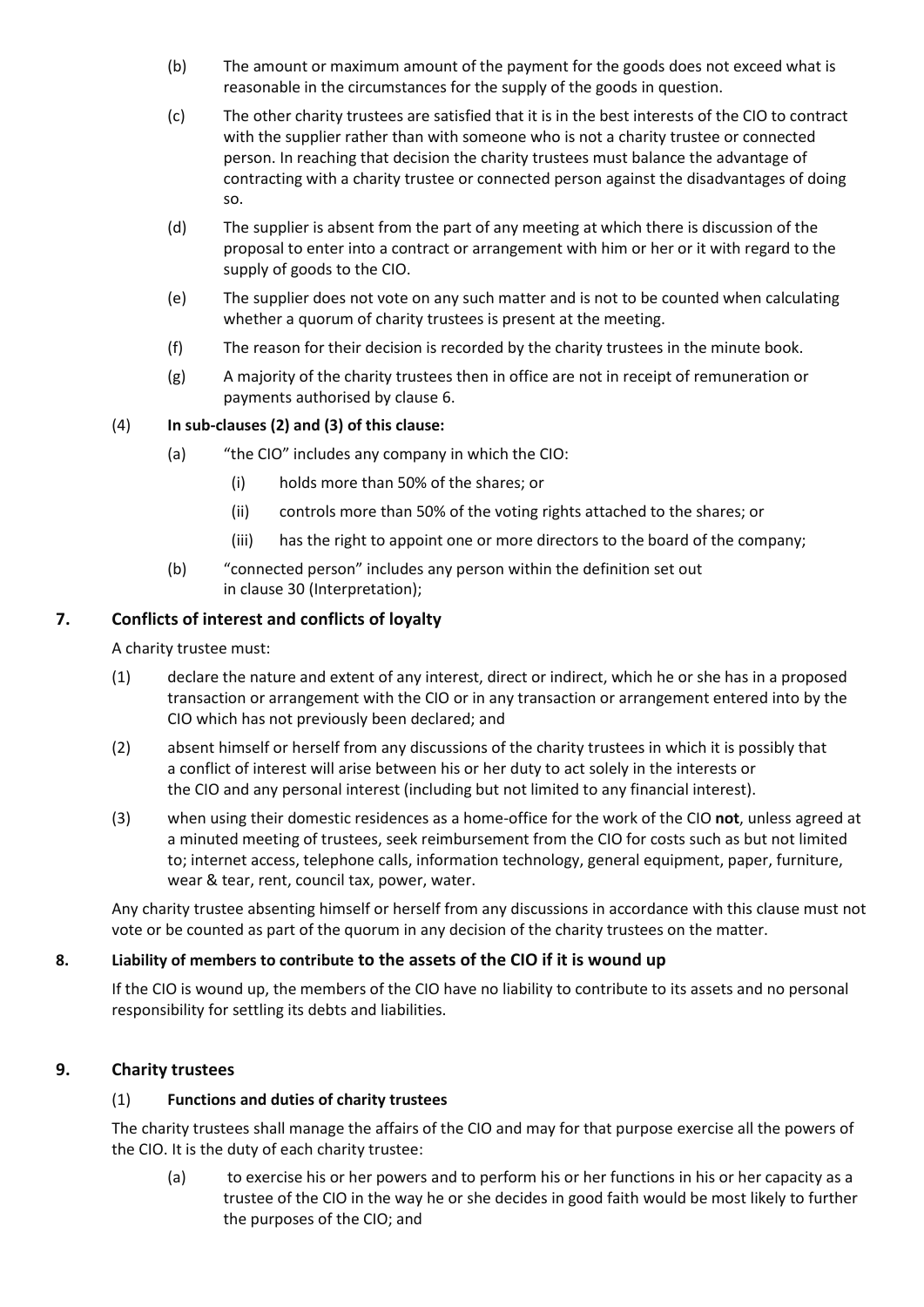- (b) The amount or maximum amount of the payment for the goods does not exceed what is reasonable in the circumstances for the supply of the goods in question.
- (c) The other charity trustees are satisfied that it is in the best interests of the CIO to contract with the supplier rather than with someone who is not a charity trustee or connected person. In reaching that decision the charity trustees must balance the advantage of contracting with a charity trustee or connected person against the disadvantages of doing so.
- (d) The supplier is absent from the part of any meeting at which there is discussion of the proposal to enter into a contract or arrangement with him or her or it with regard to the supply of goods to the CIO.
- (e) The supplier does not vote on any such matter and is not to be counted when calculating whether a quorum of charity trustees is present at the meeting.
- (f) The reason for their decision is recorded by the charity trustees in the minute book.
- (g) A majority of the charity trustees then in office are not in receipt of remuneration or payments authorised by clause 6.

# (4) **In sub-clauses (2) and (3) of this clause:**

- (a) "the CIO" includes any company in which the CIO:
	- (i) holds more than 50% of the shares; or
	- (ii) controls more than 50% of the voting rights attached to the shares; or
	- (iii) has the right to appoint one or more directors to the board of the company;
- (b) "connected person" includes any person within the definition set out in clause 30 (Interpretation);

# **7. Conflicts of interest and conflicts of loyalty**

A charity trustee must:

- (1) declare the nature and extent of any interest, direct or indirect, which he or she has in a proposed transaction or arrangement with the CIO or in any transaction or arrangement entered into by the CIO which has not previously been declared; and
- (2) absent himself or herself from any discussions of the charity trustees in which it is possibly that a conflict of interest will arise between his or her duty to act solely in the interests or the CIO and any personal interest (including but not limited to any financial interest).
- (3) when using their domestic residences as a home-office for the work of the CIO **not**, unless agreed at a minuted meeting of trustees, seek reimbursement from the CIO for costs such as but not limited to; internet access, telephone calls, information technology, general equipment, paper, furniture, wear & tear, rent, council tax, power, water.

Any charity trustee absenting himself or herself from any discussions in accordance with this clause must not vote or be counted as part of the quorum in any decision of the charity trustees on the matter.

## **8. Liability of members to contribute to the assets of the CIO if it is wound up**

If the CIO is wound up, the members of the CIO have no liability to contribute to its assets and no personal responsibility for settling its debts and liabilities.

# **9. Charity trustees**

## (1) **Functions and duties of charity trustees**

The charity trustees shall manage the affairs of the CIO and may for that purpose exercise all the powers of the CIO. It is the duty of each charity trustee:

(a) to exercise his or her powers and to perform his or her functions in his or her capacity as a trustee of the CIO in the way he or she decides in good faith would be most likely to further the purposes of the CIO; and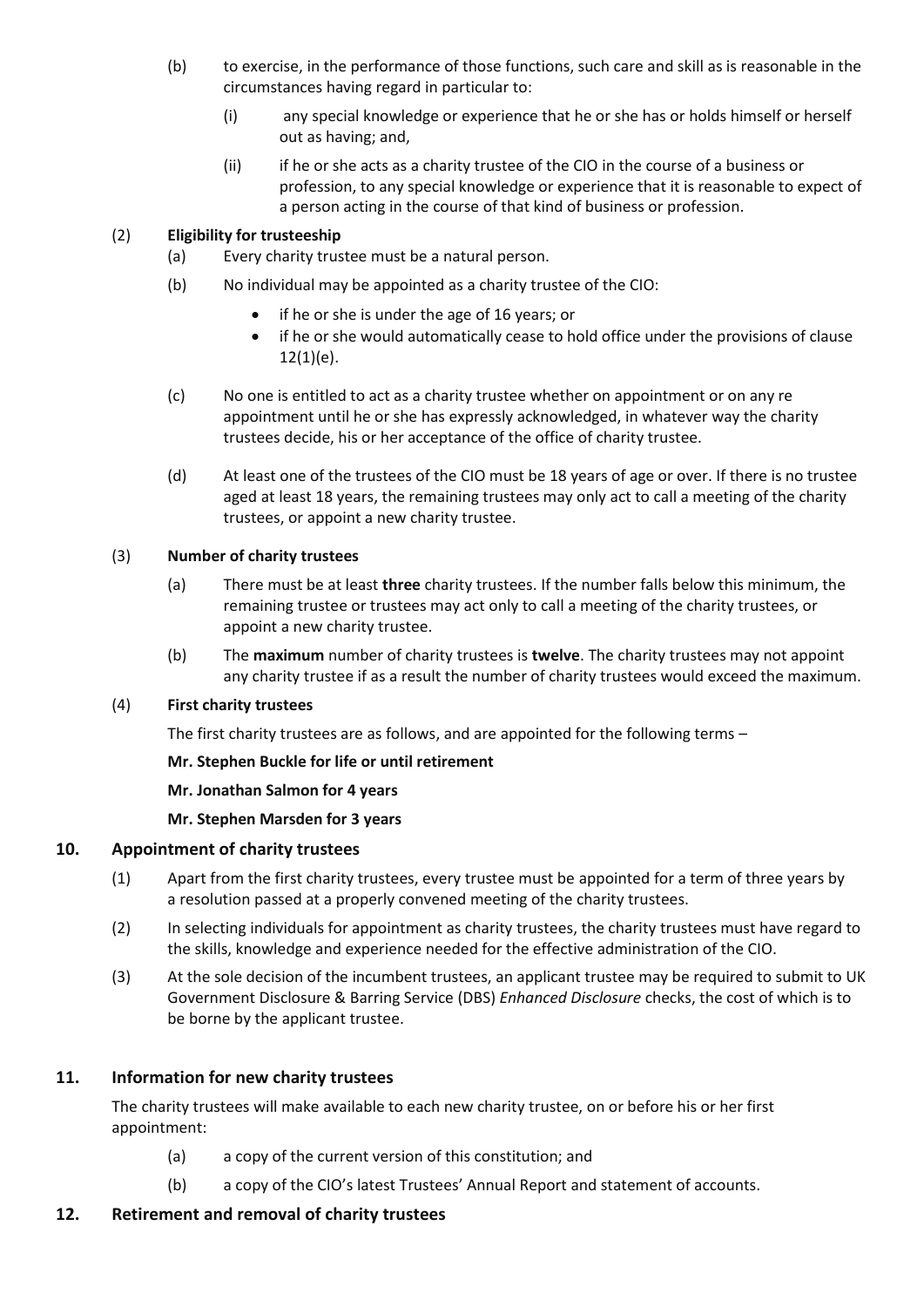- (b) to exercise, in the performance of those functions, such care and skill as is reasonable in the circumstances having regard in particular to:
	- (i) any special knowledge or experience that he or she has or holds himself or herself out as having; and,
	- (ii) if he or she acts as a charity trustee of the CIO in the course of a business or profession, to any special knowledge or experience that it is reasonable to expect of a person acting in the course of that kind of business or profession.

## (2) **Eligibility for trusteeship**

- (a) Every charity trustee must be a natural person.
- (b) No individual may be appointed as a charity trustee of the CIO:
	- if he or she is under the age of 16 years; or
	- if he or she would automatically cease to hold office under the provisions of clause  $12(1)(e)$ .
- (c) No one is entitled to act as a charity trustee whether on appointment or on any re appointment until he or she has expressly acknowledged, in whatever way the charity trustees decide, his or her acceptance of the office of charity trustee.
- (d) At least one of the trustees of the CIO must be 18 years of age or over. If there is no trustee aged at least 18 years, the remaining trustees may only act to call a meeting of the charity trustees, or appoint a new charity trustee.

## (3) **Number of charity trustees**

- (a) There must be at least **three** charity trustees. If the number falls below this minimum, the remaining trustee or trustees may act only to call a meeting of the charity trustees, or appoint a new charity trustee.
- (b) The **maximum** number of charity trustees is **twelve**. The charity trustees may not appoint any charity trustee if as a result the number of charity trustees would exceed the maximum.

## (4) **First charity trustees**

The first charity trustees are as follows, and are appointed for the following terms –

**Mr. Stephen Buckle for life or until retirement**

**Mr. Jonathan Salmon for 4 years**

## **Mr. Stephen Marsden for 3 years**

# **10. Appointment of charity trustees**

- (1) Apart from the first charity trustees, every trustee must be appointed for a term of three years by a resolution passed at a properly convened meeting of the charity trustees.
- (2) In selecting individuals for appointment as charity trustees, the charity trustees must have regard to the skills, knowledge and experience needed for the effective administration of the CIO.
- (3) At the sole decision of the incumbent trustees, an applicant trustee may be required to submit to UK Government Disclosure & Barring Service (DBS) *Enhanced Disclosure* checks, the cost of which is to be borne by the applicant trustee.

# **11. Information for new charity trustees**

The charity trustees will make available to each new charity trustee, on or before his or her first appointment:

- (a) a copy of the current version of this constitution; and
- (b) a copy of the CIO's latest Trustees' Annual Report and statement of accounts.

# **12. Retirement and removal of charity trustees**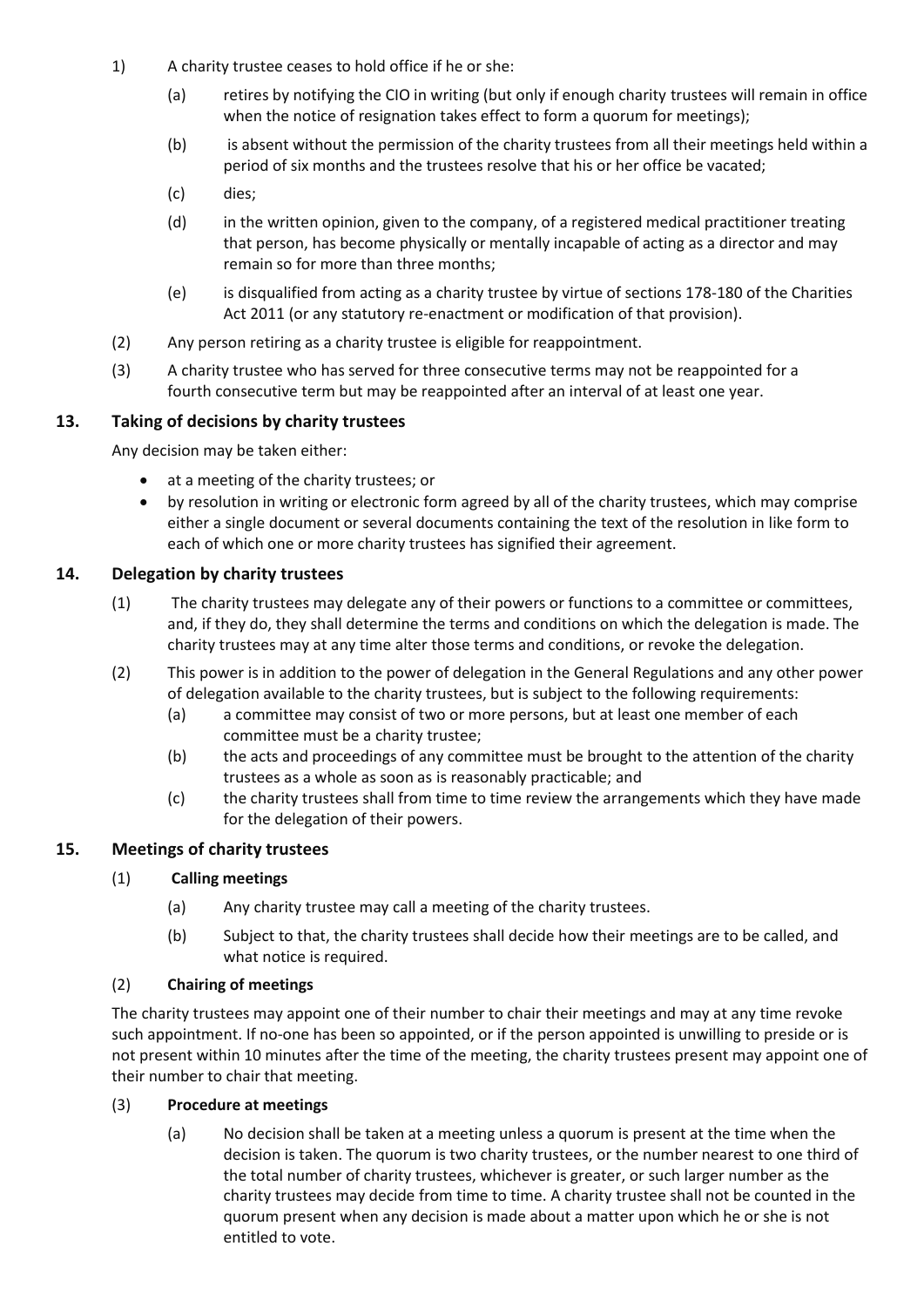- 1) A charity trustee ceases to hold office if he or she:
	- (a) retires by notifying the CIO in writing (but only if enough charity trustees will remain in office when the notice of resignation takes effect to form a quorum for meetings);
	- (b) is absent without the permission of the charity trustees from all their meetings held within a period of six months and the trustees resolve that his or her office be vacated;
	- (c) dies;
	- (d) in the written opinion, given to the company, of a registered medical practitioner treating that person, has become physically or mentally incapable of acting as a director and may remain so for more than three months;
	- (e) is disqualified from acting as a charity trustee by virtue of sections 178-180 of the Charities Act 2011 (or any statutory re-enactment or modification of that provision).
- (2) Any person retiring as a charity trustee is eligible for reappointment.
- (3) A charity trustee who has served for three consecutive terms may not be reappointed for a fourth consecutive term but may be reappointed after an interval of at least one year.

# **13. Taking of decisions by charity trustees**

Any decision may be taken either:

- at a meeting of the charity trustees; or
- by resolution in writing or electronic form agreed by all of the charity trustees, which may comprise either a single document or several documents containing the text of the resolution in like form to each of which one or more charity trustees has signified their agreement.

## **14. Delegation by charity trustees**

- (1) The charity trustees may delegate any of their powers or functions to a committee or committees, and, if they do, they shall determine the terms and conditions on which the delegation is made. The charity trustees may at any time alter those terms and conditions, or revoke the delegation.
- (2) This power is in addition to the power of delegation in the General Regulations and any other power of delegation available to the charity trustees, but is subject to the following requirements:
	- (a) a committee may consist of two or more persons, but at least one member of each committee must be a charity trustee;
	- (b) the acts and proceedings of any committee must be brought to the attention of the charity trustees as a whole as soon as is reasonably practicable; and
	- (c) the charity trustees shall from time to time review the arrangements which they have made for the delegation of their powers.

## **15. Meetings of charity trustees**

## (1) **Calling meetings**

- (a) Any charity trustee may call a meeting of the charity trustees.
- (b) Subject to that, the charity trustees shall decide how their meetings are to be called, and what notice is required.

## (2) **Chairing of meetings**

The charity trustees may appoint one of their number to chair their meetings and may at any time revoke such appointment. If no-one has been so appointed, or if the person appointed is unwilling to preside or is not present within 10 minutes after the time of the meeting, the charity trustees present may appoint one of their number to chair that meeting.

## (3) **Procedure at meetings**

(a) No decision shall be taken at a meeting unless a quorum is present at the time when the decision is taken. The quorum is two charity trustees, or the number nearest to one third of the total number of charity trustees, whichever is greater, or such larger number as the charity trustees may decide from time to time. A charity trustee shall not be counted in the quorum present when any decision is made about a matter upon which he or she is not entitled to vote.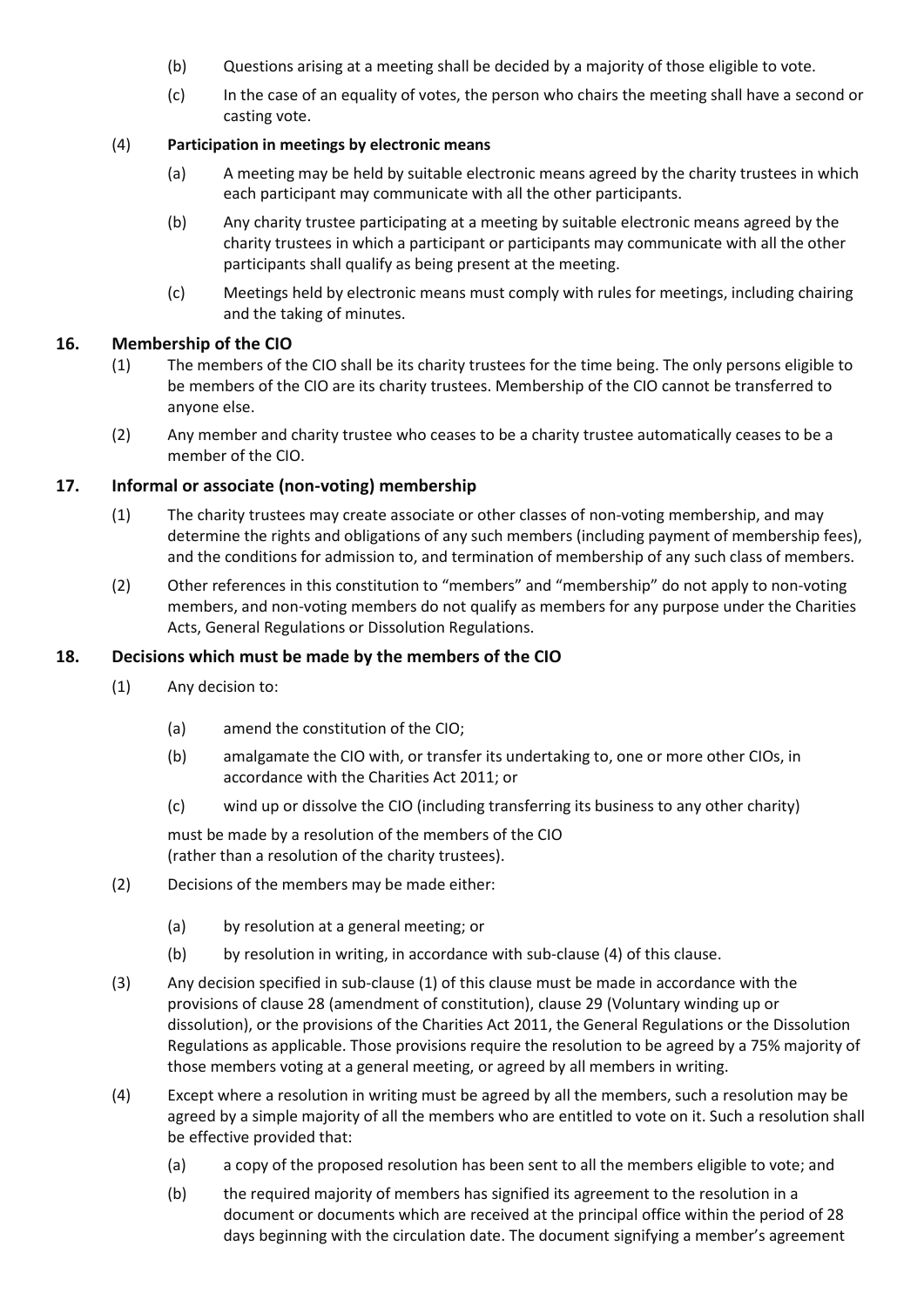- (b) Questions arising at a meeting shall be decided by a majority of those eligible to vote.
- (c) In the case of an equality of votes, the person who chairs the meeting shall have a second or casting vote.

#### (4) **Participation in meetings by electronic means**

- (a) A meeting may be held by suitable electronic means agreed by the charity trustees in which each participant may communicate with all the other participants.
- (b) Any charity trustee participating at a meeting by suitable electronic means agreed by the charity trustees in which a participant or participants may communicate with all the other participants shall qualify as being present at the meeting.
- (c) Meetings held by electronic means must comply with rules for meetings, including chairing and the taking of minutes.

## **16. Membership of the CIO**

- (1) The members of the CIO shall be its charity trustees for the time being. The only persons eligible to be members of the CIO are its charity trustees. Membership of the CIO cannot be transferred to anyone else.
- (2) Any member and charity trustee who ceases to be a charity trustee automatically ceases to be a member of the CIO.

#### **17. Informal or associate (non-voting) membership**

- (1) The charity trustees may create associate or other classes of non-voting membership, and may determine the rights and obligations of any such members (including payment of membership fees), and the conditions for admission to, and termination of membership of any such class of members.
- (2) Other references in this constitution to "members" and "membership" do not apply to non-voting members, and non-voting members do not qualify as members for any purpose under the Charities Acts, General Regulations or Dissolution Regulations.

## **18. Decisions which must be made by the members of the CIO**

- (1) Any decision to:
	- (a) amend the constitution of the CIO;
	- (b) amalgamate the CIO with, or transfer its undertaking to, one or more other CIOs, in accordance with the Charities Act 2011; or
	- (c) wind up or dissolve the CIO (including transferring its business to any other charity)

must be made by a resolution of the members of the CIO (rather than a resolution of the charity trustees).

- (2) Decisions of the members may be made either:
	- (a) by resolution at a general meeting; or
	- (b) by resolution in writing, in accordance with sub-clause (4) of this clause.
- (3) Any decision specified in sub-clause (1) of this clause must be made in accordance with the provisions of clause 28 (amendment of constitution), clause 29 (Voluntary winding up or dissolution), or the provisions of the Charities Act 2011, the General Regulations or the Dissolution Regulations as applicable. Those provisions require the resolution to be agreed by a 75% majority of those members voting at a general meeting, or agreed by all members in writing.
- (4) Except where a resolution in writing must be agreed by all the members, such a resolution may be agreed by a simple majority of all the members who are entitled to vote on it. Such a resolution shall be effective provided that:
	- (a) a copy of the proposed resolution has been sent to all the members eligible to vote; and
	- (b) the required majority of members has signified its agreement to the resolution in a document or documents which are received at the principal office within the period of 28 days beginning with the circulation date. The document signifying a member's agreement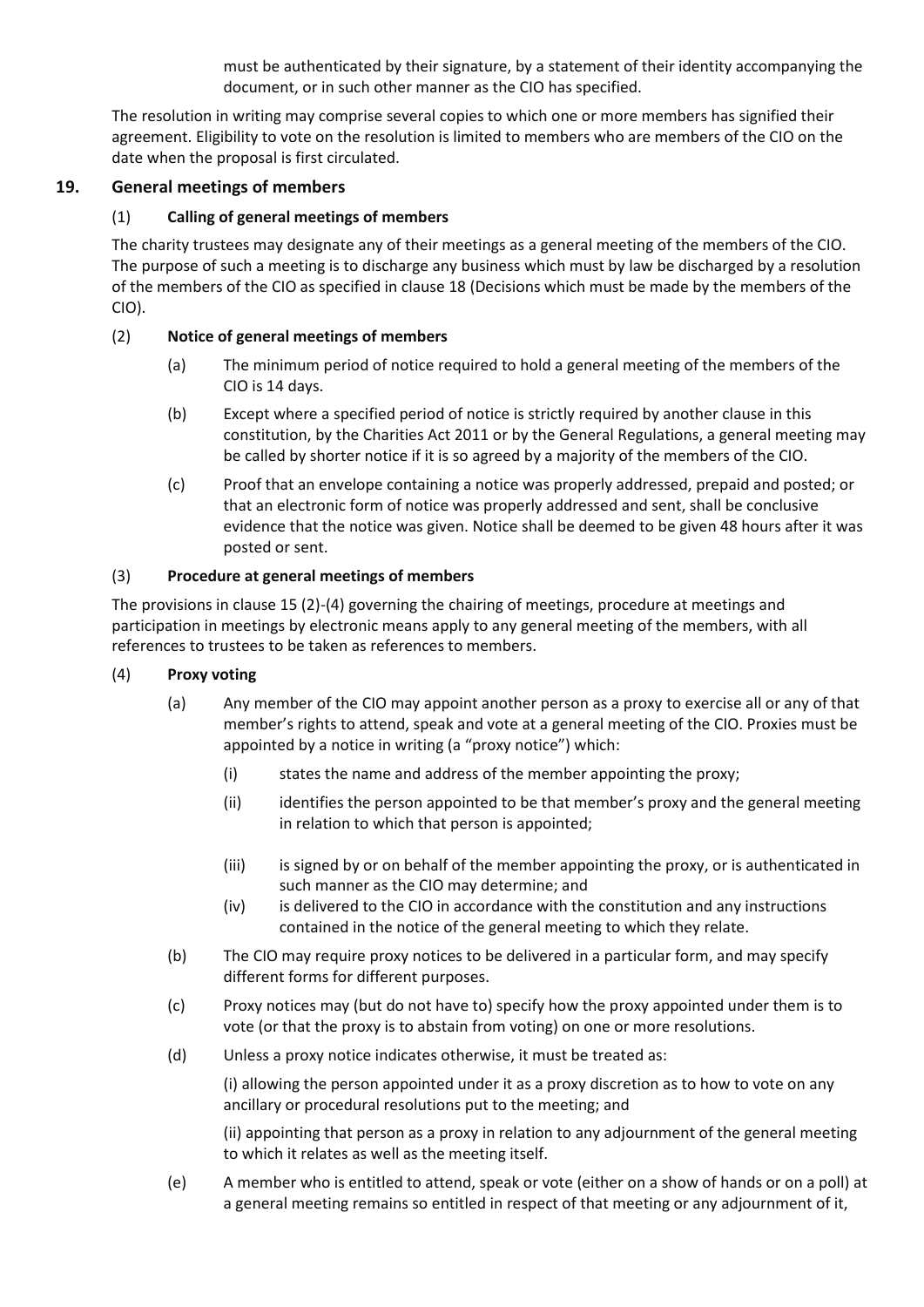must be authenticated by their signature, by a statement of their identity accompanying the document, or in such other manner as the CIO has specified.

The resolution in writing may comprise several copies to which one or more members has signified their agreement. Eligibility to vote on the resolution is limited to members who are members of the CIO on the date when the proposal is first circulated.

# **19. General meetings of members**

## (1) **Calling of general meetings of members**

The charity trustees may designate any of their meetings as a general meeting of the members of the CIO. The purpose of such a meeting is to discharge any business which must by law be discharged by a resolution of the members of the CIO as specified in clause 18 (Decisions which must be made by the members of the CIO).

# (2) **Notice of general meetings of members**

- (a) The minimum period of notice required to hold a general meeting of the members of the CIO is 14 days.
- (b) Except where a specified period of notice is strictly required by another clause in this constitution, by the Charities Act 2011 or by the General Regulations, a general meeting may be called by shorter notice if it is so agreed by a majority of the members of the CIO.
- (c) Proof that an envelope containing a notice was properly addressed, prepaid and posted; or that an electronic form of notice was properly addressed and sent, shall be conclusive evidence that the notice was given. Notice shall be deemed to be given 48 hours after it was posted or sent.

## (3) **Procedure at general meetings of members**

The provisions in clause 15 (2)-(4) governing the chairing of meetings, procedure at meetings and participation in meetings by electronic means apply to any general meeting of the members, with all references to trustees to be taken as references to members.

# (4) **Proxy voting**

- (a) Any member of the CIO may appoint another person as a proxy to exercise all or any of that member's rights to attend, speak and vote at a general meeting of the CIO. Proxies must be appointed by a notice in writing (a "proxy notice") which:
	- (i) states the name and address of the member appointing the proxy;
	- (ii) identifies the person appointed to be that member's proxy and the general meeting in relation to which that person is appointed;
	- (iii) is signed by or on behalf of the member appointing the proxy, or is authenticated in such manner as the CIO may determine; and
	- (iv) is delivered to the CIO in accordance with the constitution and any instructions contained in the notice of the general meeting to which they relate.
- (b) The CIO may require proxy notices to be delivered in a particular form, and may specify different forms for different purposes.
- (c) Proxy notices may (but do not have to) specify how the proxy appointed under them is to vote (or that the proxy is to abstain from voting) on one or more resolutions.
- (d) Unless a proxy notice indicates otherwise, it must be treated as:

(i) allowing the person appointed under it as a proxy discretion as to how to vote on any ancillary or procedural resolutions put to the meeting; and

(ii) appointing that person as a proxy in relation to any adjournment of the general meeting to which it relates as well as the meeting itself.

(e) A member who is entitled to attend, speak or vote (either on a show of hands or on a poll) at a general meeting remains so entitled in respect of that meeting or any adjournment of it,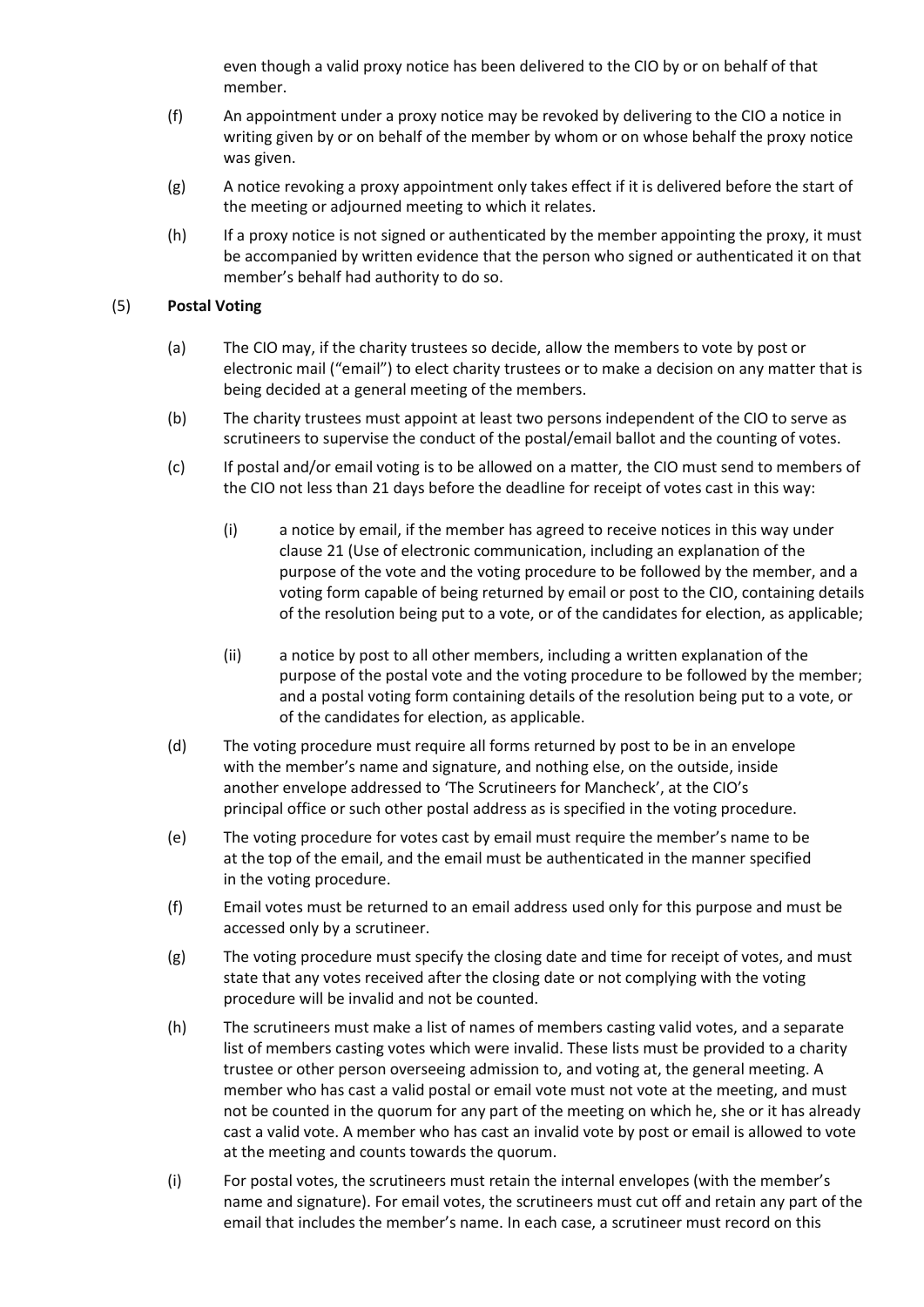even though a valid proxy notice has been delivered to the CIO by or on behalf of that member.

- (f) An appointment under a proxy notice may be revoked by delivering to the CIO a notice in writing given by or on behalf of the member by whom or on whose behalf the proxy notice was given.
- (g) A notice revoking a proxy appointment only takes effect if it is delivered before the start of the meeting or adjourned meeting to which it relates.
- (h) If a proxy notice is not signed or authenticated by the member appointing the proxy, it must be accompanied by written evidence that the person who signed or authenticated it on that member's behalf had authority to do so.

#### (5) **Postal Voting**

- (a) The CIO may, if the charity trustees so decide, allow the members to vote by post or electronic mail ("email") to elect charity trustees or to make a decision on any matter that is being decided at a general meeting of the members.
- (b) The charity trustees must appoint at least two persons independent of the CIO to serve as scrutineers to supervise the conduct of the postal/email ballot and the counting of votes.
- (c) If postal and/or email voting is to be allowed on a matter, the CIO must send to members of the CIO not less than 21 days before the deadline for receipt of votes cast in this way:
	- (i) a notice by email, if the member has agreed to receive notices in this way under clause 21 (Use of electronic communication, including an explanation of the purpose of the vote and the voting procedure to be followed by the member, and a voting form capable of being returned by email or post to the CIO, containing details of the resolution being put to a vote, or of the candidates for election, as applicable;
	- (ii) a notice by post to all other members, including a written explanation of the purpose of the postal vote and the voting procedure to be followed by the member; and a postal voting form containing details of the resolution being put to a vote, or of the candidates for election, as applicable.
- (d) The voting procedure must require all forms returned by post to be in an envelope with the member's name and signature, and nothing else, on the outside, inside another envelope addressed to 'The Scrutineers for Mancheck', at the CIO's principal office or such other postal address as is specified in the voting procedure.
- (e) The voting procedure for votes cast by email must require the member's name to be at the top of the email, and the email must be authenticated in the manner specified in the voting procedure.
- (f) Email votes must be returned to an email address used only for this purpose and must be accessed only by a scrutineer.
- (g) The voting procedure must specify the closing date and time for receipt of votes, and must state that any votes received after the closing date or not complying with the voting procedure will be invalid and not be counted.
- (h) The scrutineers must make a list of names of members casting valid votes, and a separate list of members casting votes which were invalid. These lists must be provided to a charity trustee or other person overseeing admission to, and voting at, the general meeting. A member who has cast a valid postal or email vote must not vote at the meeting, and must not be counted in the quorum for any part of the meeting on which he, she or it has already cast a valid vote. A member who has cast an invalid vote by post or email is allowed to vote at the meeting and counts towards the quorum.
- (i) For postal votes, the scrutineers must retain the internal envelopes (with the member's name and signature). For email votes, the scrutineers must cut off and retain any part of the email that includes the member's name. In each case, a scrutineer must record on this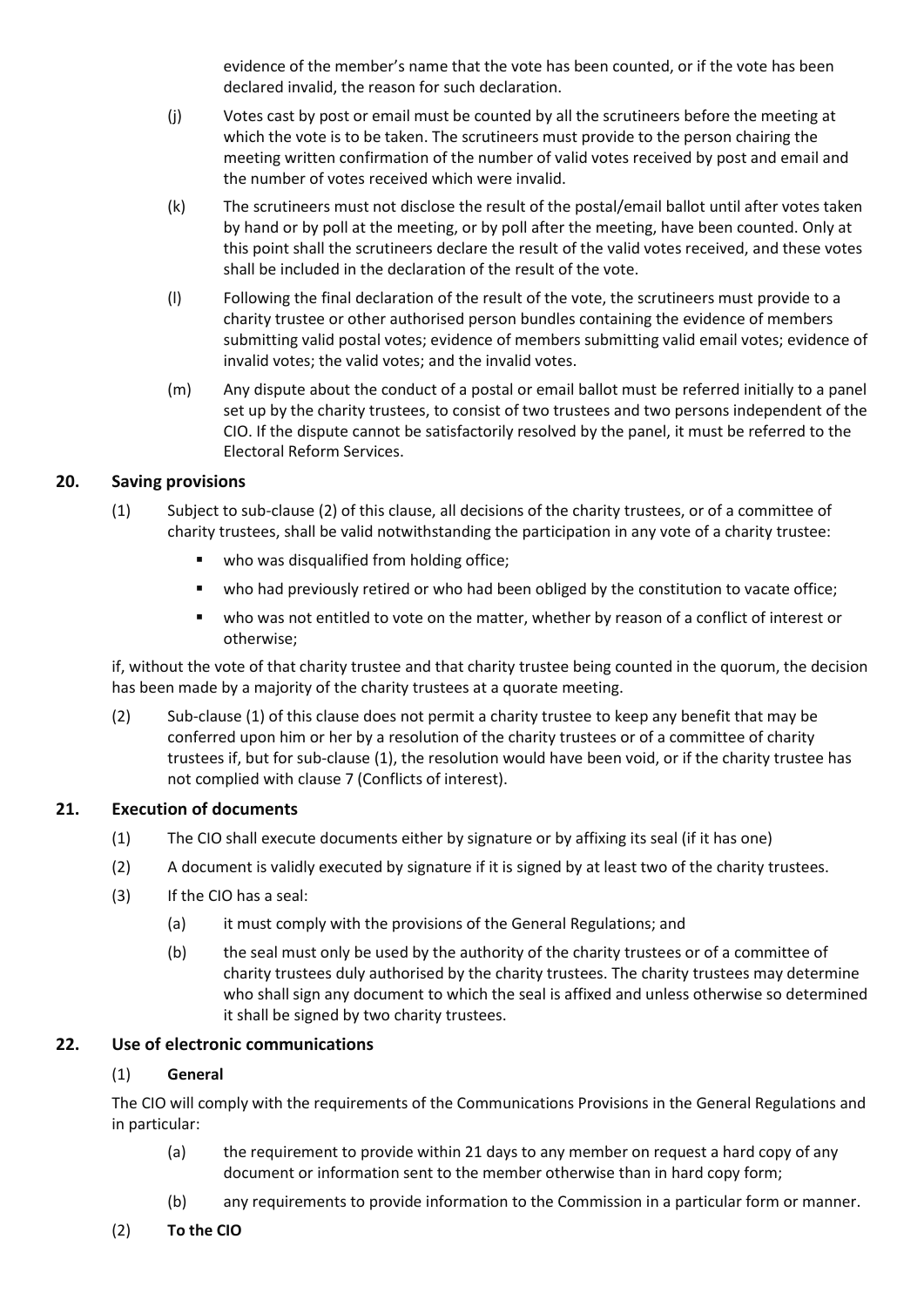evidence of the member's name that the vote has been counted, or if the vote has been declared invalid, the reason for such declaration.

- (j) Votes cast by post or email must be counted by all the scrutineers before the meeting at which the vote is to be taken. The scrutineers must provide to the person chairing the meeting written confirmation of the number of valid votes received by post and email and the number of votes received which were invalid.
- (k) The scrutineers must not disclose the result of the postal/email ballot until after votes taken by hand or by poll at the meeting, or by poll after the meeting, have been counted. Only at this point shall the scrutineers declare the result of the valid votes received, and these votes shall be included in the declaration of the result of the vote.
- (l) Following the final declaration of the result of the vote, the scrutineers must provide to a charity trustee or other authorised person bundles containing the evidence of members submitting valid postal votes; evidence of members submitting valid email votes; evidence of invalid votes; the valid votes; and the invalid votes.
- (m) Any dispute about the conduct of a postal or email ballot must be referred initially to a panel set up by the charity trustees, to consist of two trustees and two persons independent of the CIO. If the dispute cannot be satisfactorily resolved by the panel, it must be referred to the Electoral Reform Services.

## **20. Saving provisions**

- (1) Subject to sub-clause (2) of this clause, all decisions of the charity trustees, or of a committee of charity trustees, shall be valid notwithstanding the participation in any vote of a charity trustee:
	- **•** who was disqualified from holding office;
	- who had previously retired or who had been obliged by the constitution to vacate office;
	- who was not entitled to vote on the matter, whether by reason of a conflict of interest or otherwise;

if, without the vote of that charity trustee and that charity trustee being counted in the quorum, the decision has been made by a majority of the charity trustees at a quorate meeting.

(2) Sub-clause (1) of this clause does not permit a charity trustee to keep any benefit that may be conferred upon him or her by a resolution of the charity trustees or of a committee of charity trustees if, but for sub-clause (1), the resolution would have been void, or if the charity trustee has not complied with clause 7 (Conflicts of interest).

## **21. Execution of documents**

- (1) The CIO shall execute documents either by signature or by affixing its seal (if it has one)
- (2) A document is validly executed by signature if it is signed by at least two of the charity trustees.
- (3) If the CIO has a seal:
	- (a) it must comply with the provisions of the General Regulations; and
	- (b) the seal must only be used by the authority of the charity trustees or of a committee of charity trustees duly authorised by the charity trustees. The charity trustees may determine who shall sign any document to which the seal is affixed and unless otherwise so determined it shall be signed by two charity trustees.

## **22. Use of electronic communications**

#### (1) **General**

The CIO will comply with the requirements of the Communications Provisions in the General Regulations and in particular:

- (a) the requirement to provide within 21 days to any member on request a hard copy of any document or information sent to the member otherwise than in hard copy form;
- (b) any requirements to provide information to the Commission in a particular form or manner.
- (2) **To the CIO**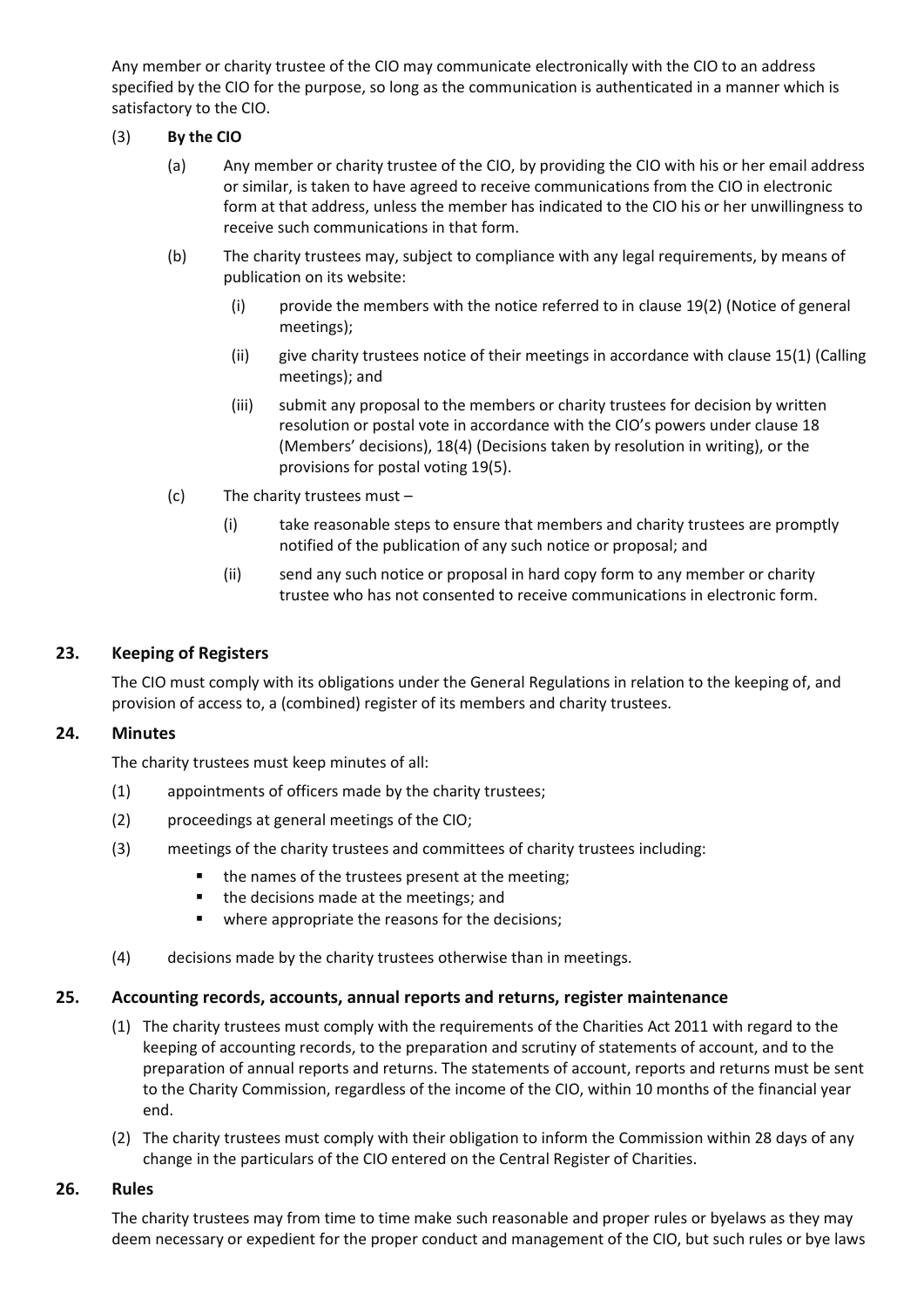Any member or charity trustee of the CIO may communicate electronically with the CIO to an address specified by the CIO for the purpose, so long as the communication is authenticated in a manner which is satisfactory to the CIO.

## (3) **By the CIO**

- (a) Any member or charity trustee of the CIO, by providing the CIO with his or her email address or similar, is taken to have agreed to receive communications from the CIO in electronic form at that address, unless the member has indicated to the CIO his or her unwillingness to receive such communications in that form.
- (b) The charity trustees may, subject to compliance with any legal requirements, by means of publication on its website:
	- (i) provide the members with the notice referred to in clause 19(2) (Notice of general meetings);
	- (ii) give charity trustees notice of their meetings in accordance with clause 15(1) (Calling meetings); and
	- (iii) submit any proposal to the members or charity trustees for decision by written resolution or postal vote in accordance with the CIO's powers under clause 18 (Members' decisions), 18(4) (Decisions taken by resolution in writing), or the provisions for postal voting 19(5).
- (c) The charity trustees must
	- (i) take reasonable steps to ensure that members and charity trustees are promptly notified of the publication of any such notice or proposal; and
	- (ii) send any such notice or proposal in hard copy form to any member or charity trustee who has not consented to receive communications in electronic form.

## **23. Keeping of Registers**

The CIO must comply with its obligations under the General Regulations in relation to the keeping of, and provision of access to, a (combined) register of its members and charity trustees.

## **24. Minutes**

The charity trustees must keep minutes of all:

- (1) appointments of officers made by the charity trustees;
- (2) proceedings at general meetings of the CIO;
- (3) meetings of the charity trustees and committees of charity trustees including:
	- the names of the trustees present at the meeting;
	- the decisions made at the meetings: and
	- where appropriate the reasons for the decisions;
- (4) decisions made by the charity trustees otherwise than in meetings.

## **25. Accounting records, accounts, annual reports and returns, register maintenance**

- (1) The charity trustees must comply with the requirements of the Charities Act 2011 with regard to the keeping of accounting records, to the preparation and scrutiny of statements of account, and to the preparation of annual reports and returns. The statements of account, reports and returns must be sent to the Charity Commission, regardless of the income of the CIO, within 10 months of the financial year end.
- (2) The charity trustees must comply with their obligation to inform the Commission within 28 days of any change in the particulars of the CIO entered on the Central Register of Charities.

#### **26. Rules**

The charity trustees may from time to time make such reasonable and proper rules or byelaws as they may deem necessary or expedient for the proper conduct and management of the CIO, but such rules or bye laws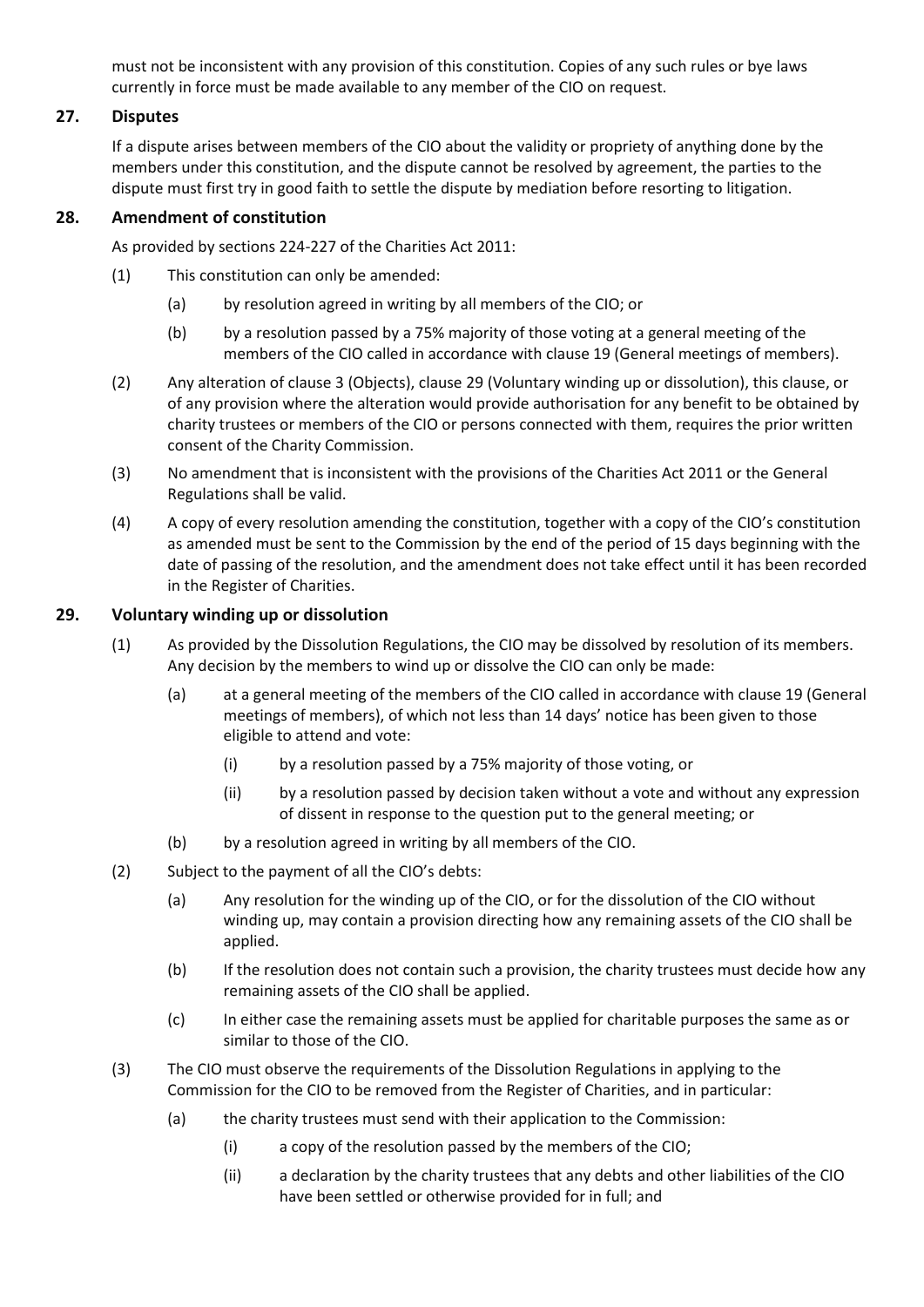must not be inconsistent with any provision of this constitution. Copies of any such rules or bye laws currently in force must be made available to any member of the CIO on request.

# **27. Disputes**

If a dispute arises between members of the CIO about the validity or propriety of anything done by the members under this constitution, and the dispute cannot be resolved by agreement, the parties to the dispute must first try in good faith to settle the dispute by mediation before resorting to litigation.

## **28. Amendment of constitution**

As provided by sections 224-227 of the Charities Act 2011:

- (1) This constitution can only be amended:
	- (a) by resolution agreed in writing by all members of the CIO; or
	- (b) by a resolution passed by a 75% majority of those voting at a general meeting of the members of the CIO called in accordance with clause 19 (General meetings of members).
- (2) Any alteration of clause 3 (Objects), clause 29 (Voluntary winding up or dissolution), this clause, or of any provision where the alteration would provide authorisation for any benefit to be obtained by charity trustees or members of the CIO or persons connected with them, requires the prior written consent of the Charity Commission.
- (3) No amendment that is inconsistent with the provisions of the Charities Act 2011 or the General Regulations shall be valid.
- (4) A copy of every resolution amending the constitution, together with a copy of the CIO's constitution as amended must be sent to the Commission by the end of the period of 15 days beginning with the date of passing of the resolution, and the amendment does not take effect until it has been recorded in the Register of Charities.

# **29. Voluntary winding up or dissolution**

- (1) As provided by the Dissolution Regulations, the CIO may be dissolved by resolution of its members. Any decision by the members to wind up or dissolve the CIO can only be made:
	- (a) at a general meeting of the members of the CIO called in accordance with clause 19 (General meetings of members), of which not less than 14 days' notice has been given to those eligible to attend and vote:
		- (i) by a resolution passed by a 75% majority of those voting, or
		- (ii) by a resolution passed by decision taken without a vote and without any expression of dissent in response to the question put to the general meeting; or
	- (b) by a resolution agreed in writing by all members of the CIO.
- (2) Subject to the payment of all the CIO's debts:
	- (a) Any resolution for the winding up of the CIO, or for the dissolution of the CIO without winding up, may contain a provision directing how any remaining assets of the CIO shall be applied.
	- (b) If the resolution does not contain such a provision, the charity trustees must decide how any remaining assets of the CIO shall be applied.
	- (c) In either case the remaining assets must be applied for charitable purposes the same as or similar to those of the CIO.
- (3) The CIO must observe the requirements of the Dissolution Regulations in applying to the Commission for the CIO to be removed from the Register of Charities, and in particular:
	- (a) the charity trustees must send with their application to the Commission:
		- (i) a copy of the resolution passed by the members of the CIO;
		- (ii) a declaration by the charity trustees that any debts and other liabilities of the CIO have been settled or otherwise provided for in full; and